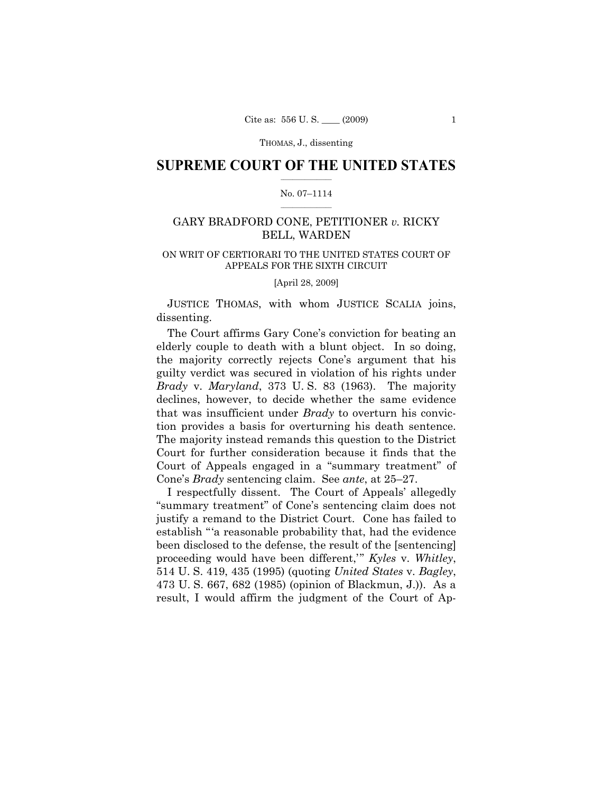## **SUPREME COURT OF THE UNITED STATES**  $\frac{1}{2}$  ,  $\frac{1}{2}$  ,  $\frac{1}{2}$  ,  $\frac{1}{2}$  ,  $\frac{1}{2}$  ,  $\frac{1}{2}$  ,  $\frac{1}{2}$

### No. 07–1114  $\frac{1}{2}$  ,  $\frac{1}{2}$  ,  $\frac{1}{2}$  ,  $\frac{1}{2}$  ,  $\frac{1}{2}$  ,  $\frac{1}{2}$

# GARY BRADFORD CONE, PETITIONER *v.* RICKY BELL, WARDEN

# ON WRIT OF CERTIORARI TO THE UNITED STATES COURT OF APPEALS FOR THE SIXTH CIRCUIT

[April 28, 2009]

 JUSTICE THOMAS, with whom JUSTICE SCALIA joins, dissenting.

 The Court affirms Gary Cone's conviction for beating an elderly couple to death with a blunt object. In so doing, the majority correctly rejects Cone's argument that his guilty verdict was secured in violation of his rights under *Brady* v. *Maryland*, 373 U. S. 83 (1963). The majority declines, however, to decide whether the same evidence that was insufficient under *Brady* to overturn his conviction provides a basis for overturning his death sentence. The majority instead remands this question to the District Court for further consideration because it finds that the Court of Appeals engaged in a "summary treatment" of Cone's *Brady* sentencing claim. See *ante*, at 25–27.

 I respectfully dissent. The Court of Appeals' allegedly "summary treatment" of Cone's sentencing claim does not justify a remand to the District Court. Cone has failed to establish "'a reasonable probability that, had the evidence been disclosed to the defense, the result of the [sentencing] proceeding would have been different,'" *Kyles* v. *Whitley*, 514 U. S. 419, 435 (1995) (quoting *United States* v. *Bagley*, 473 U. S. 667, 682 (1985) (opinion of Blackmun, J.)). As a result, I would affirm the judgment of the Court of Ap-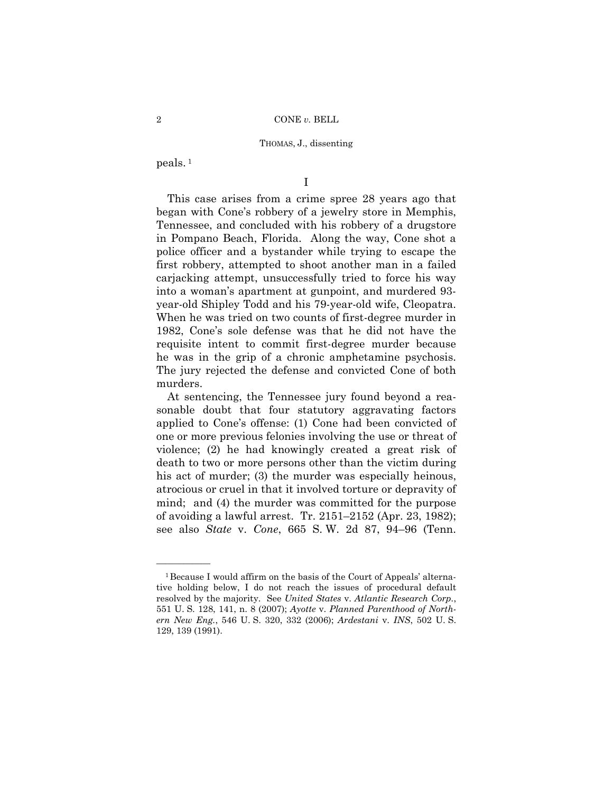peals. 1

——————

I

 This case arises from a crime spree 28 years ago that began with Cone's robbery of a jewelry store in Memphis, Tennessee, and concluded with his robbery of a drugstore in Pompano Beach, Florida. Along the way, Cone shot a police officer and a bystander while trying to escape the first robbery, attempted to shoot another man in a failed carjacking attempt, unsuccessfully tried to force his way into a woman's apartment at gunpoint, and murdered 93 year-old Shipley Todd and his 79-year-old wife, Cleopatra. When he was tried on two counts of first-degree murder in 1982, Cone's sole defense was that he did not have the requisite intent to commit first-degree murder because he was in the grip of a chronic amphetamine psychosis. The jury rejected the defense and convicted Cone of both murders.

 At sentencing, the Tennessee jury found beyond a reasonable doubt that four statutory aggravating factors applied to Cone's offense: (1) Cone had been convicted of one or more previous felonies involving the use or threat of violence; (2) he had knowingly created a great risk of death to two or more persons other than the victim during his act of murder; (3) the murder was especially heinous, atrocious or cruel in that it involved torture or depravity of mind; and (4) the murder was committed for the purpose of avoiding a lawful arrest. Tr. 2151–2152 (Apr. 23, 1982); see also *State* v. *Cone*, 665 S. W. 2d 87, 94–96 (Tenn.

<sup>&</sup>lt;sup>1</sup> Because I would affirm on the basis of the Court of Appeals' alternative holding below, I do not reach the issues of procedural default resolved by the majority. See *United States* v. *Atlantic Research Corp.*, 551 U. S. 128, 141, n. 8 (2007); *Ayotte* v. *Planned Parenthood of Northern New Eng.*, 546 U. S. 320, 332 (2006); *Ardestani* v. *INS*, 502 U. S. 129, 139 (1991).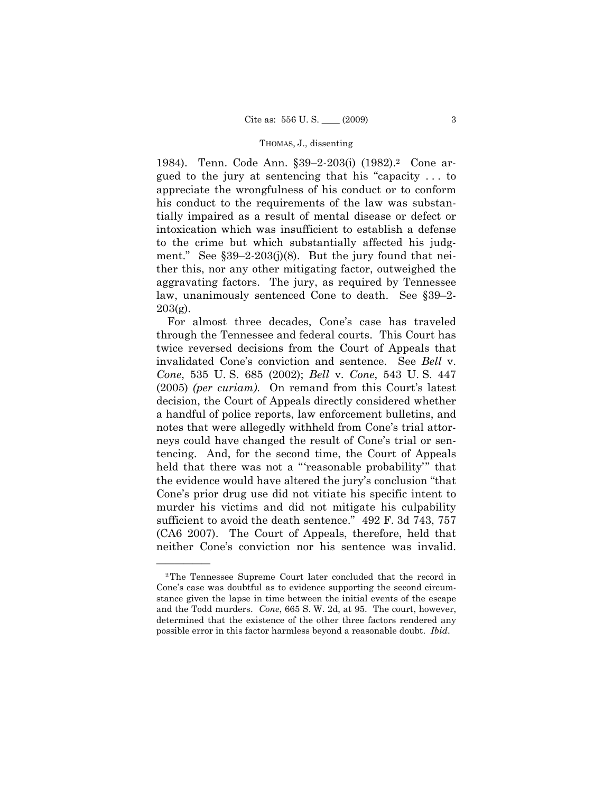1984). Tenn. Code Ann. §39–2-203(i) (1982).2 Cone argued to the jury at sentencing that his "capacity . . . to appreciate the wrongfulness of his conduct or to conform his conduct to the requirements of the law was substantially impaired as a result of mental disease or defect or intoxication which was insufficient to establish a defense to the crime but which substantially affected his judgment." See §39–2-203(j)(8). But the jury found that neither this, nor any other mitigating factor, outweighed the aggravating factors. The jury, as required by Tennessee law, unanimously sentenced Cone to death. See §39–2-  $203(g)$ .

 For almost three decades, Cone's case has traveled through the Tennessee and federal courts. This Court has twice reversed decisions from the Court of Appeals that invalidated Cone's conviction and sentence. See *Bell* v. *Cone*, 535 U. S. 685 (2002); *Bell* v. *Cone*, 543 U. S. 447 (2005) *(per curiam)*. On remand from this Court's latest decision, the Court of Appeals directly considered whether a handful of police reports, law enforcement bulletins, and notes that were allegedly withheld from Cone's trial attorneys could have changed the result of Cone's trial or sentencing. And, for the second time, the Court of Appeals held that there was not a "'reasonable probability'" that the evidence would have altered the jury's conclusion "that Cone's prior drug use did not vitiate his specific intent to murder his victims and did not mitigate his culpability sufficient to avoid the death sentence." 492 F. 3d 743, 757 (CA6 2007). The Court of Appeals, therefore, held that neither Cone's conviction nor his sentence was invalid.

<sup>2</sup>The Tennessee Supreme Court later concluded that the record in Cone's case was doubtful as to evidence supporting the second circumstance given the lapse in time between the initial events of the escape and the Todd murders. *Cone*, 665 S. W. 2d, at 95. The court, however, determined that the existence of the other three factors rendered any possible error in this factor harmless beyond a reasonable doubt. *Ibid*.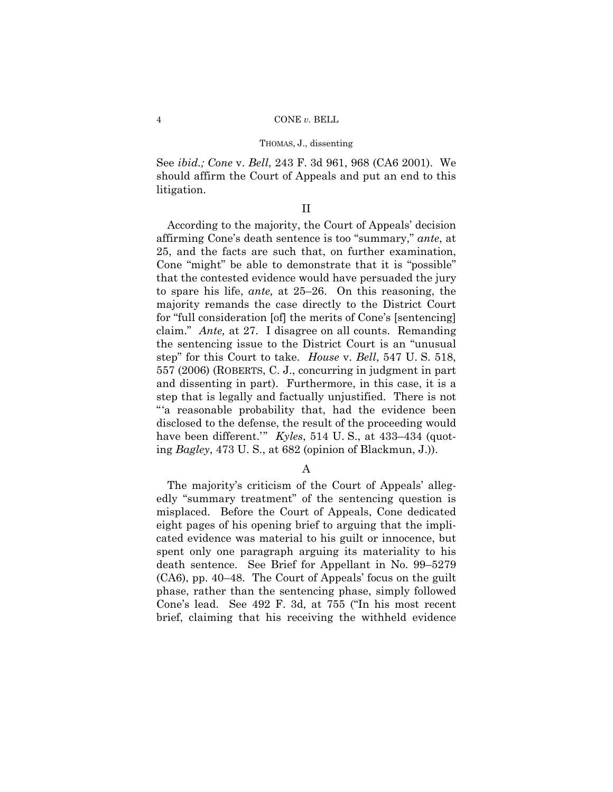See *ibid.; Cone* v. *Bell*, 243 F. 3d 961, 968 (CA6 2001). We should affirm the Court of Appeals and put an end to this litigation.

# II

 According to the majority, the Court of Appeals' decision affirming Cone's death sentence is too "summary," *ante*, at 25, and the facts are such that, on further examination, Cone "might" be able to demonstrate that it is "possible" that the contested evidence would have persuaded the jury to spare his life, *ante,* at 25–26. On this reasoning, the majority remands the case directly to the District Court for "full consideration [of] the merits of Cone's [sentencing] claim." *Ante,* at 27.I disagree on all counts. Remanding the sentencing issue to the District Court is an "unusual step" for this Court to take. *House* v. *Bell*, 547 U. S. 518, 557 (2006) (ROBERTS, C. J., concurring in judgment in part and dissenting in part). Furthermore, in this case, it is a step that is legally and factually unjustified. There is not "'a reasonable probability that, had the evidence been disclosed to the defense, the result of the proceeding would have been different.'" *Kyles*, 514 U. S., at 433–434 (quoting *Bagley*, 473 U. S., at 682 (opinion of Blackmun, J.)).

## A

 The majority's criticism of the Court of Appeals' allegedly "summary treatment" of the sentencing question is misplaced. Before the Court of Appeals, Cone dedicated eight pages of his opening brief to arguing that the implicated evidence was material to his guilt or innocence, but spent only one paragraph arguing its materiality to his death sentence. See Brief for Appellant in No. 99–5279 (CA6), pp. 40–48. The Court of Appeals' focus on the guilt phase, rather than the sentencing phase, simply followed Cone's lead. See 492 F. 3d, at 755 ("In his most recent brief, claiming that his receiving the withheld evidence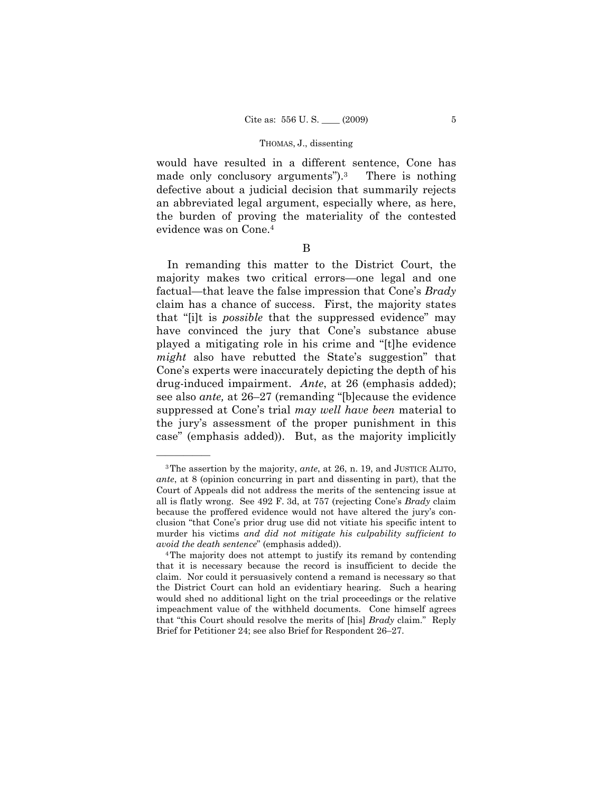would have resulted in a different sentence, Cone has made only conclusory arguments").<sup>3</sup> There is nothing defective about a judicial decision that summarily rejects an abbreviated legal argument, especially where, as here, the burden of proving the materiality of the contested evidence was on Cone.4

B

 In remanding this matter to the District Court, the majority makes two critical errors—one legal and one factual—that leave the false impression that Cone's *Brady*  claim has a chance of success. First, the majority states that "[i]t is *possible* that the suppressed evidence" may have convinced the jury that Cone's substance abuse played a mitigating role in his crime and "[t]he evidence *might* also have rebutted the State's suggestion" that Cone's experts were inaccurately depicting the depth of his drug-induced impairment. *Ante*, at 26 (emphasis added); see also *ante,* at 26–27 (remanding "[b]ecause the evidence suppressed at Cone's trial *may well have been* material to the jury's assessment of the proper punishment in this case" (emphasis added)). But, as the majority implicitly

<sup>3</sup>The assertion by the majority, *ante*, at 26, n. 19, and JUSTICE ALITO, *ante*, at 8 (opinion concurring in part and dissenting in part), that the Court of Appeals did not address the merits of the sentencing issue at all is flatly wrong. See 492 F. 3d, at 757 (rejecting Cone's *Brady* claim because the proffered evidence would not have altered the jury's conclusion "that Cone's prior drug use did not vitiate his specific intent to murder his victims *and did not mitigate his culpability sufficient to avoid the death sentence*" (emphasis added)).<br><sup>4</sup>The majority does not attempt to justify its remand by contending

that it is necessary because the record is insufficient to decide the claim. Nor could it persuasively contend a remand is necessary so that the District Court can hold an evidentiary hearing. Such a hearing would shed no additional light on the trial proceedings or the relative impeachment value of the withheld documents. Cone himself agrees that "this Court should resolve the merits of [his] *Brady* claim." Reply Brief for Petitioner 24; see also Brief for Respondent 26–27.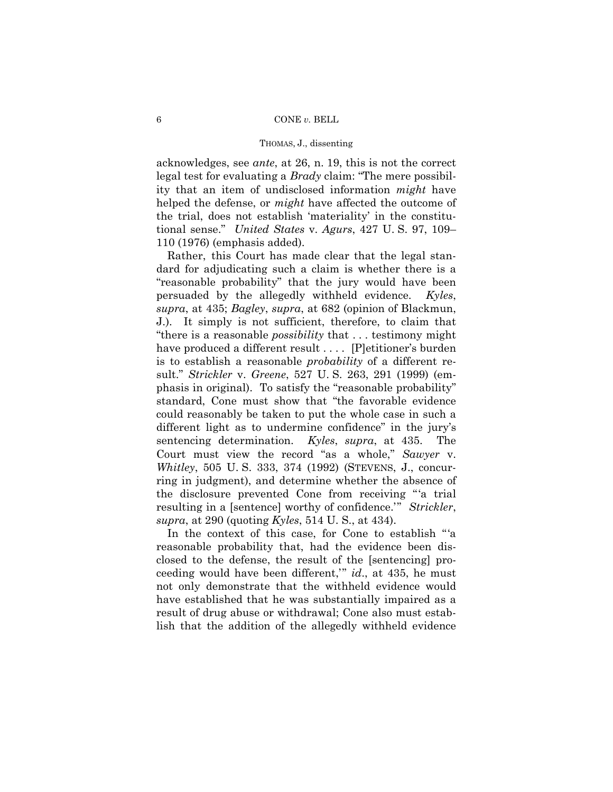acknowledges, see *ante*, at 26, n. 19, this is not the correct legal test for evaluating a *Brady* claim: "The mere possibility that an item of undisclosed information *might* have helped the defense, or *might* have affected the outcome of the trial, does not establish 'materiality' in the constitutional sense." *United States* v. *Agurs*, 427 U. S. 97, 109– 110 (1976) (emphasis added).

 Rather, this Court has made clear that the legal standard for adjudicating such a claim is whether there is a "reasonable probability" that the jury would have been persuaded by the allegedly withheld evidence. *Kyles*, *supra*, at 435; *Bagley*, *supra*, at 682 (opinion of Blackmun, J.). It simply is not sufficient, therefore, to claim that "there is a reasonable *possibility* that . . . testimony might have produced a different result .... [P]etitioner's burden is to establish a reasonable *probability* of a different result." *Strickler* v. *Greene*, 527 U. S. 263, 291 (1999) (emphasis in original). To satisfy the "reasonable probability" standard, Cone must show that "the favorable evidence could reasonably be taken to put the whole case in such a different light as to undermine confidence" in the jury's sentencing determination. *Kyles*, *supra*, at 435. The Court must view the record "as a whole," *Sawyer* v. *Whitley*, 505 U. S. 333, 374 (1992) (STEVENS, J., concurring in judgment), and determine whether the absence of the disclosure prevented Cone from receiving "'a trial resulting in a [sentence] worthy of confidence.'" *Strickler*, *supra*, at 290 (quoting *Kyles*, 514 U. S., at 434).

 In the context of this case, for Cone to establish "'a reasonable probability that, had the evidence been disclosed to the defense, the result of the [sentencing] proceeding would have been different,'" *id*., at 435, he must not only demonstrate that the withheld evidence would have established that he was substantially impaired as a result of drug abuse or withdrawal; Cone also must establish that the addition of the allegedly withheld evidence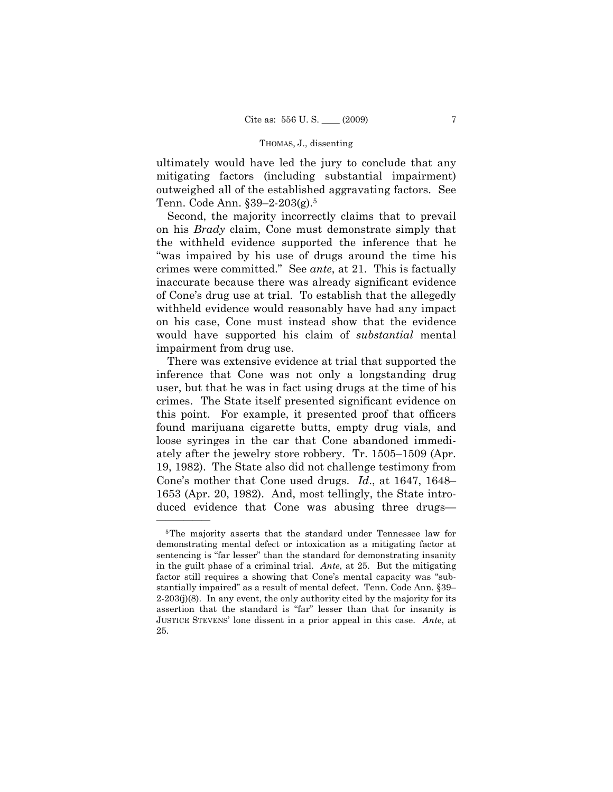ultimately would have led the jury to conclude that any mitigating factors (including substantial impairment) outweighed all of the established aggravating factors. See Tenn. Code Ann. §39–2-203(g).5

 Second, the majority incorrectly claims that to prevail on his *Brady* claim, Cone must demonstrate simply that the withheld evidence supported the inference that he "was impaired by his use of drugs around the time his crimes were committed." See *ante*, at 21. This is factually inaccurate because there was already significant evidence of Cone's drug use at trial. To establish that the allegedly withheld evidence would reasonably have had any impact on his case, Cone must instead show that the evidence would have supported his claim of *substantial* mental impairment from drug use.

 There was extensive evidence at trial that supported the inference that Cone was not only a longstanding drug user, but that he was in fact using drugs at the time of his crimes. The State itself presented significant evidence on this point. For example, it presented proof that officers found marijuana cigarette butts, empty drug vials, and loose syringes in the car that Cone abandoned immediately after the jewelry store robbery. Tr. 1505–1509 (Apr. 19, 1982). The State also did not challenge testimony from Cone's mother that Cone used drugs. *Id*., at 1647, 1648– 1653 (Apr. 20, 1982). And, most tellingly, the State introduced evidence that Cone was abusing three drugs—

<sup>5</sup>The majority asserts that the standard under Tennessee law for demonstrating mental defect or intoxication as a mitigating factor at sentencing is "far lesser" than the standard for demonstrating insanity in the guilt phase of a criminal trial. *Ante*, at 25. But the mitigating factor still requires a showing that Cone's mental capacity was "substantially impaired" as a result of mental defect. Tenn. Code Ann. §39–  $2-203(j)(8)$ . In any event, the only authority cited by the majority for its assertion that the standard is "far" lesser than that for insanity is JUSTICE STEVENS' lone dissent in a prior appeal in this case. *Ante*, at 25.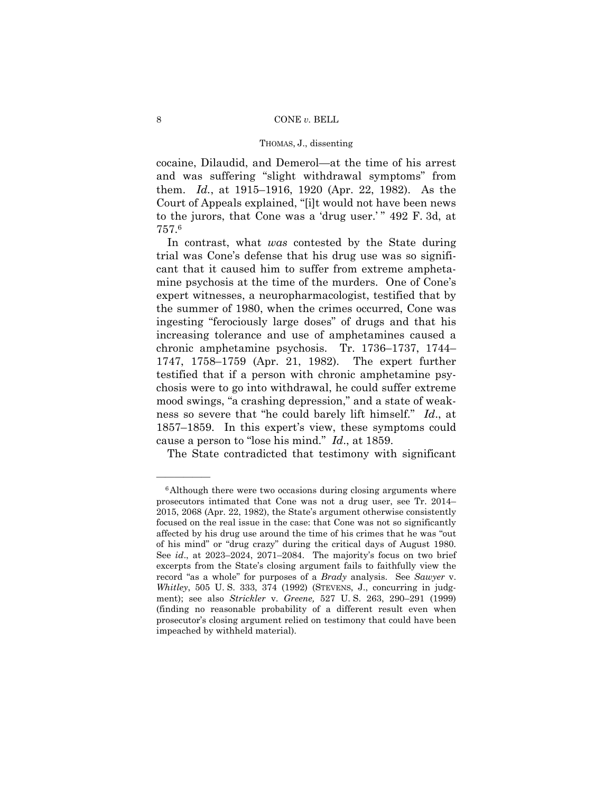cocaine, Dilaudid, and Demerol—at the time of his arrest and was suffering "slight withdrawal symptoms" from them. *Id.*, at 1915–1916, 1920 (Apr. 22, 1982). As the Court of Appeals explained, "[i]t would not have been news to the jurors, that Cone was a 'drug user.'" 492 F. 3d, at 757.6

 In contrast, what *was* contested by the State during trial was Cone's defense that his drug use was so significant that it caused him to suffer from extreme amphetamine psychosis at the time of the murders. One of Cone's expert witnesses, a neuropharmacologist, testified that by the summer of 1980, when the crimes occurred, Cone was ingesting "ferociously large doses" of drugs and that his increasing tolerance and use of amphetamines caused a chronic amphetamine psychosis. Tr. 1736–1737, 1744– 1747, 1758–1759 (Apr. 21, 1982). The expert further testified that if a person with chronic amphetamine psychosis were to go into withdrawal, he could suffer extreme mood swings, "a crashing depression," and a state of weakness so severe that "he could barely lift himself." *Id*., at 1857–1859. In this expert's view, these symptoms could cause a person to "lose his mind." *Id*., at 1859.

The State contradicted that testimony with significant

<sup>&</sup>lt;sup>6</sup>Although there were two occasions during closing arguments where prosecutors intimated that Cone was not a drug user, see Tr. 2014– 2015, 2068 (Apr. 22, 1982), the State's argument otherwise consistently focused on the real issue in the case: that Cone was not so significantly affected by his drug use around the time of his crimes that he was "out of his mind" or "drug crazy" during the critical days of August 1980. See *id*., at 2023–2024, 2071–2084. The majority's focus on two brief excerpts from the State's closing argument fails to faithfully view the record "as a whole" for purposes of a *Brady* analysis. See *Sawyer* v. *Whitley*, 505 U. S. 333, 374 (1992) (STEVENS, J., concurring in judgment); see also *Strickler* v. *Greene,* 527 U. S. 263, 290–291 (1999) (finding no reasonable probability of a different result even when prosecutor's closing argument relied on testimony that could have been impeached by withheld material).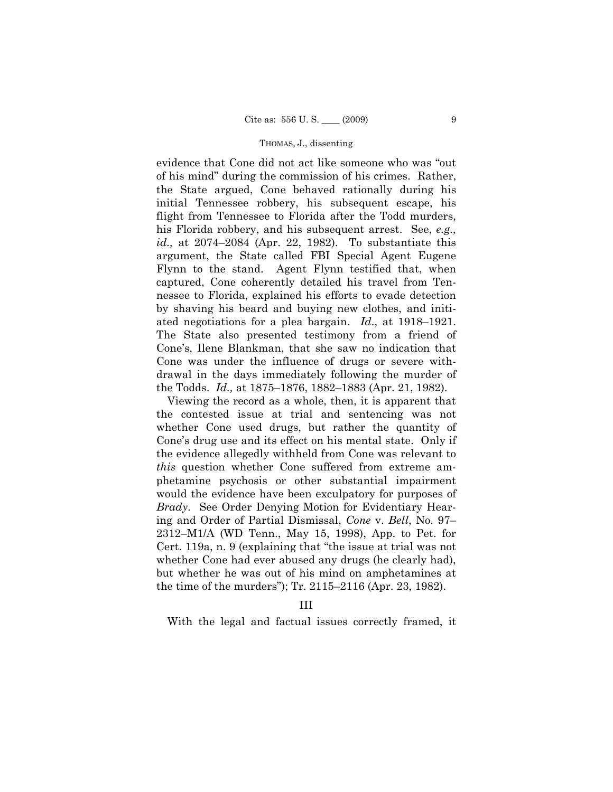evidence that Cone did not act like someone who was "out of his mind" during the commission of his crimes. Rather, the State argued, Cone behaved rationally during his initial Tennessee robbery, his subsequent escape, his flight from Tennessee to Florida after the Todd murders, his Florida robbery, and his subsequent arrest. See, *e.g., id.,* at 2074–2084 (Apr. 22, 1982). To substantiate this argument, the State called FBI Special Agent Eugene Flynn to the stand. Agent Flynn testified that, when captured, Cone coherently detailed his travel from Tennessee to Florida, explained his efforts to evade detection by shaving his beard and buying new clothes, and initiated negotiations for a plea bargain. *Id*., at 1918–1921. The State also presented testimony from a friend of Cone's, Ilene Blankman, that she saw no indication that Cone was under the influence of drugs or severe withdrawal in the days immediately following the murder of the Todds. *Id.,* at 1875–1876, 1882–1883 (Apr. 21, 1982).

 Viewing the record as a whole, then, it is apparent that the contested issue at trial and sentencing was not whether Cone used drugs, but rather the quantity of Cone's drug use and its effect on his mental state. Only if the evidence allegedly withheld from Cone was relevant to *this* question whether Cone suffered from extreme amphetamine psychosis or other substantial impairment would the evidence have been exculpatory for purposes of *Brady*. See Order Denying Motion for Evidentiary Hearing and Order of Partial Dismissal, *Cone* v. *Bell*, No. 97– 2312–M1/A (WD Tenn., May 15, 1998), App. to Pet. for Cert. 119a, n. 9 (explaining that "the issue at trial was not whether Cone had ever abused any drugs (he clearly had), but whether he was out of his mind on amphetamines at the time of the murders"); Tr. 2115–2116 (Apr. 23, 1982).

# III

With the legal and factual issues correctly framed, it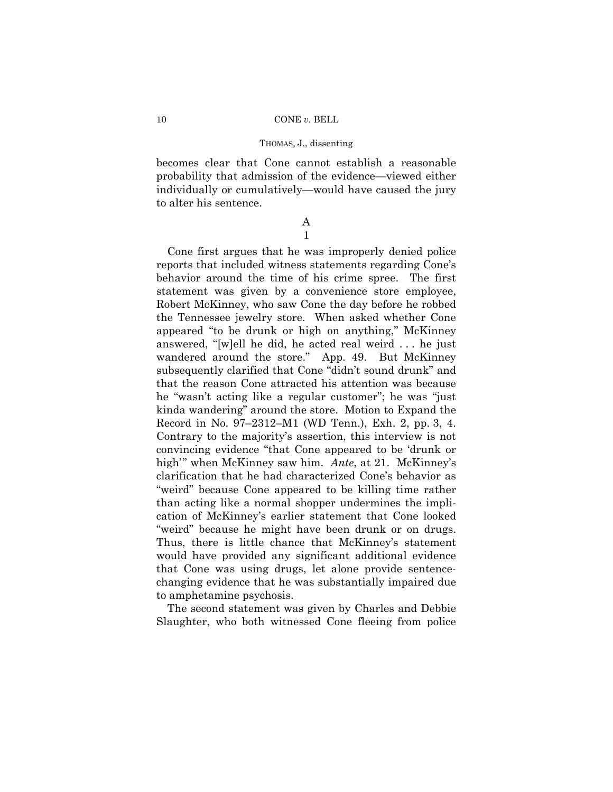becomes clear that Cone cannot establish a reasonable probability that admission of the evidence—viewed either individually or cumulatively—would have caused the jury to alter his sentence.

## A 1

 Cone first argues that he was improperly denied police reports that included witness statements regarding Cone's behavior around the time of his crime spree. The first statement was given by a convenience store employee, Robert McKinney, who saw Cone the day before he robbed the Tennessee jewelry store. When asked whether Cone appeared "to be drunk or high on anything," McKinney answered, "[w]ell he did, he acted real weird . . . he just wandered around the store." App. 49. But McKinney subsequently clarified that Cone "didn't sound drunk" and that the reason Cone attracted his attention was because he "wasn't acting like a regular customer"; he was "just kinda wandering" around the store. Motion to Expand the Record in No. 97–2312–M1 (WD Tenn.), Exh. 2, pp. 3, 4. Contrary to the majority's assertion, this interview is not convincing evidence "that Cone appeared to be 'drunk or high'" when McKinney saw him. *Ante*, at 21. McKinney's clarification that he had characterized Cone's behavior as "weird" because Cone appeared to be killing time rather than acting like a normal shopper undermines the implication of McKinney's earlier statement that Cone looked "weird" because he might have been drunk or on drugs. Thus, there is little chance that McKinney's statement would have provided any significant additional evidence that Cone was using drugs, let alone provide sentencechanging evidence that he was substantially impaired due to amphetamine psychosis.

 The second statement was given by Charles and Debbie Slaughter, who both witnessed Cone fleeing from police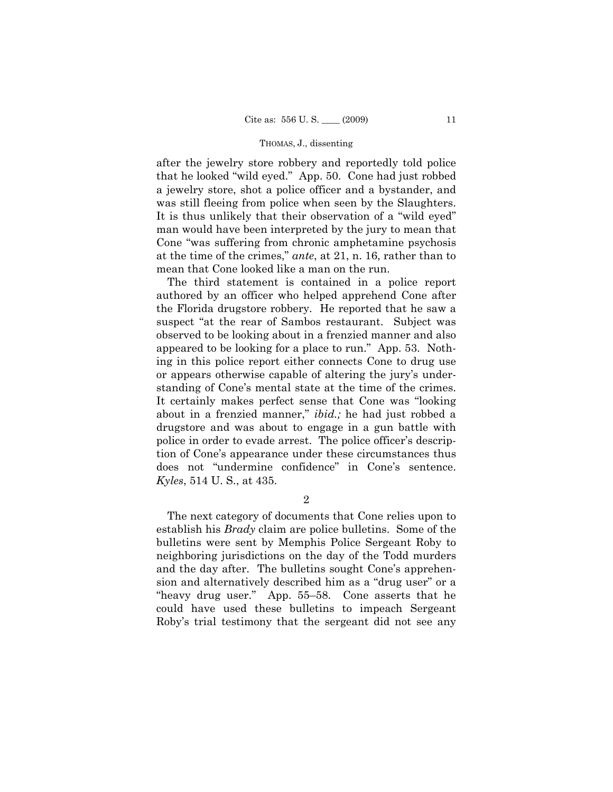after the jewelry store robbery and reportedly told police that he looked "wild eyed." App. 50. Cone had just robbed a jewelry store, shot a police officer and a bystander, and was still fleeing from police when seen by the Slaughters. It is thus unlikely that their observation of a "wild eyed" man would have been interpreted by the jury to mean that Cone "was suffering from chronic amphetamine psychosis at the time of the crimes," *ante*, at 21, n. 16, rather than to mean that Cone looked like a man on the run.

 The third statement is contained in a police report authored by an officer who helped apprehend Cone after the Florida drugstore robbery. He reported that he saw a suspect "at the rear of Sambos restaurant. Subject was observed to be looking about in a frenzied manner and also appeared to be looking for a place to run." App. 53. Nothing in this police report either connects Cone to drug use or appears otherwise capable of altering the jury's understanding of Cone's mental state at the time of the crimes. It certainly makes perfect sense that Cone was "looking about in a frenzied manner," *ibid.;* he had just robbed a drugstore and was about to engage in a gun battle with police in order to evade arrest. The police officer's description of Cone's appearance under these circumstances thus does not "undermine confidence" in Cone's sentence. *Kyles*, 514 U. S., at 435.

2

 The next category of documents that Cone relies upon to establish his *Brady* claim are police bulletins. Some of the bulletins were sent by Memphis Police Sergeant Roby to neighboring jurisdictions on the day of the Todd murders and the day after. The bulletins sought Cone's apprehension and alternatively described him as a "drug user" or a "heavy drug user." App. 55–58. Cone asserts that he could have used these bulletins to impeach Sergeant Roby's trial testimony that the sergeant did not see any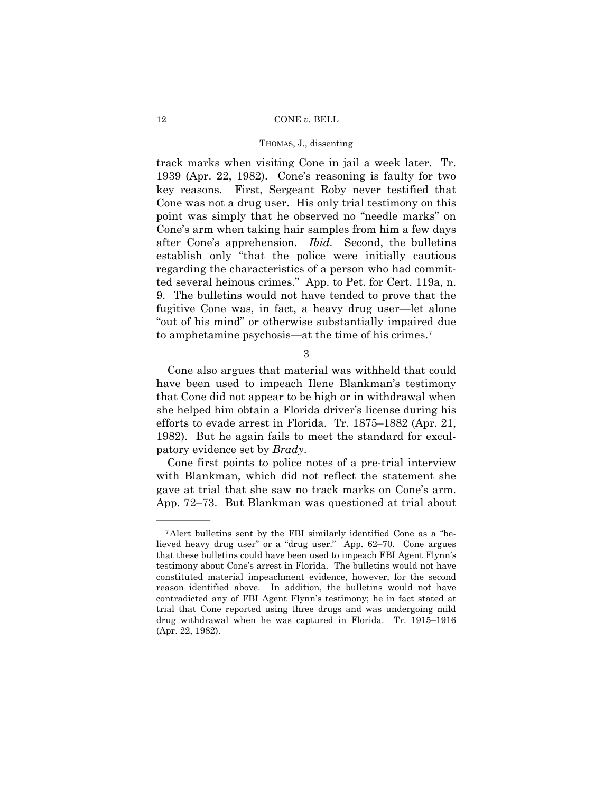### 12 CONE *v.* BELL

### THOMAS, J., dissenting

track marks when visiting Cone in jail a week later. Tr. 1939 (Apr. 22, 1982). Cone's reasoning is faulty for two key reasons. First, Sergeant Roby never testified that Cone was not a drug user. His only trial testimony on this point was simply that he observed no "needle marks" on Cone's arm when taking hair samples from him a few days after Cone's apprehension. *Ibid.* Second, the bulletins establish only "that the police were initially cautious regarding the characteristics of a person who had committed several heinous crimes." App. to Pet. for Cert. 119a, n. 9. The bulletins would not have tended to prove that the fugitive Cone was, in fact, a heavy drug user—let alone "out of his mind" or otherwise substantially impaired due to amphetamine psychosis—at the time of his crimes.7

3

 Cone also argues that material was withheld that could have been used to impeach Ilene Blankman's testimony that Cone did not appear to be high or in withdrawal when she helped him obtain a Florida driver's license during his efforts to evade arrest in Florida. Tr. 1875–1882 (Apr. 21, 1982). But he again fails to meet the standard for exculpatory evidence set by *Brady*.

 Cone first points to police notes of a pre-trial interview with Blankman, which did not reflect the statement she gave at trial that she saw no track marks on Cone's arm. App. 72–73. But Blankman was questioned at trial about

<sup>7</sup>Alert bulletins sent by the FBI similarly identified Cone as a "believed heavy drug user" or a "drug user." App. 62–70. Cone argues that these bulletins could have been used to impeach FBI Agent Flynn's testimony about Cone's arrest in Florida. The bulletins would not have constituted material impeachment evidence, however, for the second reason identified above. In addition, the bulletins would not have contradicted any of FBI Agent Flynn's testimony; he in fact stated at trial that Cone reported using three drugs and was undergoing mild drug withdrawal when he was captured in Florida. Tr. 1915–1916 (Apr. 22, 1982).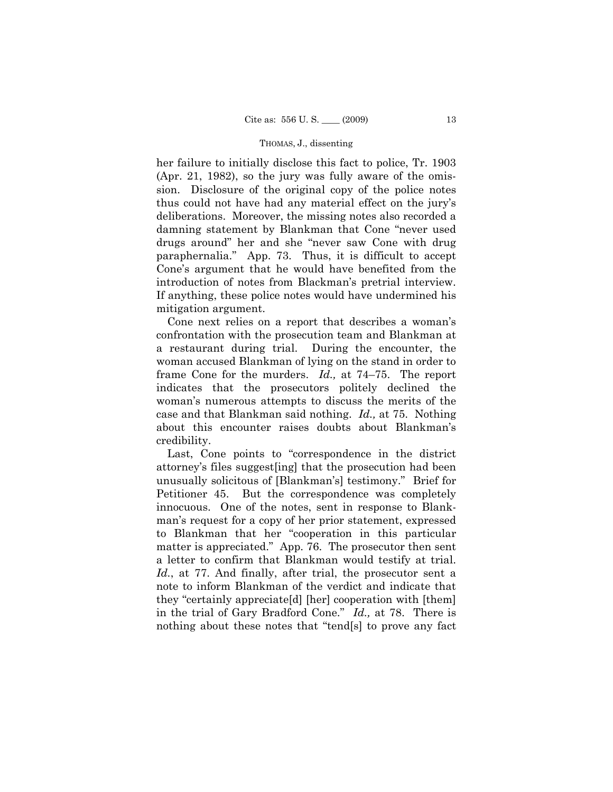her failure to initially disclose this fact to police, Tr. 1903 (Apr. 21, 1982), so the jury was fully aware of the omission. Disclosure of the original copy of the police notes thus could not have had any material effect on the jury's deliberations. Moreover, the missing notes also recorded a damning statement by Blankman that Cone "never used drugs around" her and she "never saw Cone with drug paraphernalia." App. 73. Thus, it is difficult to accept Cone's argument that he would have benefited from the introduction of notes from Blackman's pretrial interview. If anything, these police notes would have undermined his mitigation argument.

 Cone next relies on a report that describes a woman's confrontation with the prosecution team and Blankman at a restaurant during trial. During the encounter, the woman accused Blankman of lying on the stand in order to frame Cone for the murders. *Id.,* at 74–75. The report indicates that the prosecutors politely declined the woman's numerous attempts to discuss the merits of the case and that Blankman said nothing. *Id.,* at 75. Nothing about this encounter raises doubts about Blankman's credibility.

 Last, Cone points to "correspondence in the district attorney's files suggest[ing] that the prosecution had been unusually solicitous of [Blankman's] testimony." Brief for Petitioner 45. But the correspondence was completely innocuous. One of the notes, sent in response to Blankman's request for a copy of her prior statement, expressed to Blankman that her "cooperation in this particular matter is appreciated." App. 76. The prosecutor then sent a letter to confirm that Blankman would testify at trial. *Id.*, at 77. And finally, after trial, the prosecutor sent a note to inform Blankman of the verdict and indicate that they "certainly appreciate[d] [her] cooperation with [them] in the trial of Gary Bradford Cone." *Id.,* at 78. There is nothing about these notes that "tend[s] to prove any fact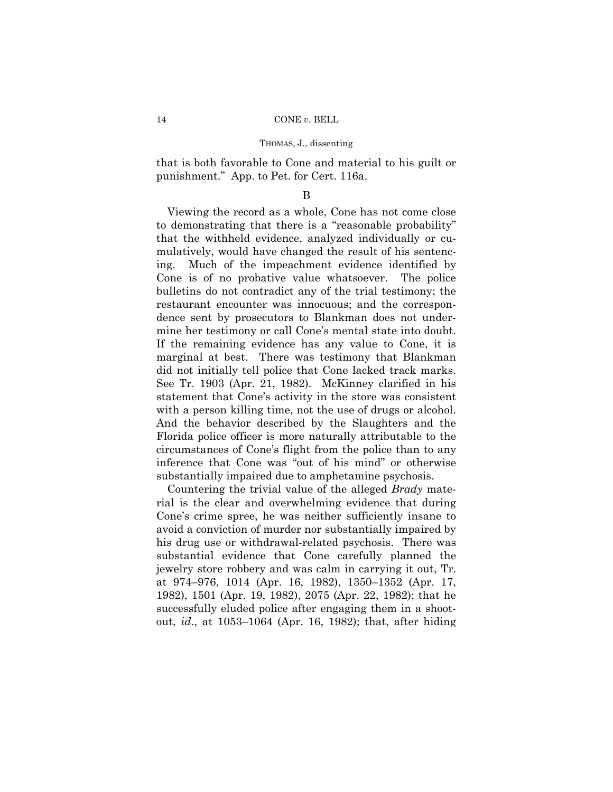that is both favorable to Cone and material to his guilt or punishment." App. to Pet. for Cert. 116a.

## B

 Viewing the record as a whole, Cone has not come close to demonstrating that there is a "reasonable probability" that the withheld evidence, analyzed individually or cumulatively, would have changed the result of his sentencing. Much of the impeachment evidence identified by Cone is of no probative value whatsoever. The police bulletins do not contradict any of the trial testimony; the restaurant encounter was innocuous; and the correspondence sent by prosecutors to Blankman does not undermine her testimony or call Cone's mental state into doubt. If the remaining evidence has any value to Cone, it is marginal at best. There was testimony that Blankman did not initially tell police that Cone lacked track marks. See Tr. 1903 (Apr. 21, 1982). McKinney clarified in his statement that Cone's activity in the store was consistent with a person killing time, not the use of drugs or alcohol. And the behavior described by the Slaughters and the Florida police officer is more naturally attributable to the circumstances of Cone's flight from the police than to any inference that Cone was "out of his mind" or otherwise substantially impaired due to amphetamine psychosis.

 Countering the trivial value of the alleged *Brady* material is the clear and overwhelming evidence that during Cone's crime spree, he was neither sufficiently insane to avoid a conviction of murder nor substantially impaired by his drug use or withdrawal-related psychosis. There was substantial evidence that Cone carefully planned the jewelry store robbery and was calm in carrying it out, Tr. at 974–976, 1014 (Apr. 16, 1982), 1350–1352 (Apr. 17, 1982), 1501 (Apr. 19, 1982), 2075 (Apr. 22, 1982); that he successfully eluded police after engaging them in a shootout, *id.*, at 1053–1064 (Apr. 16, 1982); that, after hiding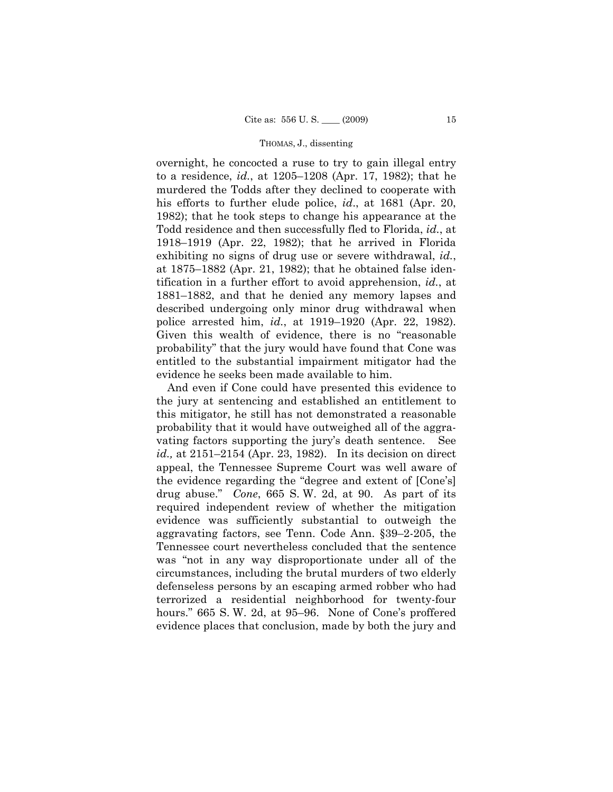overnight, he concocted a ruse to try to gain illegal entry to a residence, *id.*, at 1205–1208 (Apr. 17, 1982); that he murdered the Todds after they declined to cooperate with his efforts to further elude police, *id*., at 1681 (Apr. 20, 1982); that he took steps to change his appearance at the Todd residence and then successfully fled to Florida, *id.*, at 1918–1919 (Apr. 22, 1982); that he arrived in Florida exhibiting no signs of drug use or severe withdrawal, *id.*, at 1875–1882 (Apr. 21, 1982); that he obtained false identification in a further effort to avoid apprehension, *id.*, at 1881–1882, and that he denied any memory lapses and described undergoing only minor drug withdrawal when police arrested him, *id.*, at 1919–1920 (Apr. 22, 1982). Given this wealth of evidence, there is no "reasonable probability" that the jury would have found that Cone was entitled to the substantial impairment mitigator had the evidence he seeks been made available to him.

 And even if Cone could have presented this evidence to the jury at sentencing and established an entitlement to this mitigator, he still has not demonstrated a reasonable probability that it would have outweighed all of the aggravating factors supporting the jury's death sentence. See *id.,* at 2151–2154 (Apr. 23, 1982). In its decision on direct appeal, the Tennessee Supreme Court was well aware of the evidence regarding the "degree and extent of [Cone's] drug abuse." *Cone*, 665 S. W. 2d, at 90. As part of its required independent review of whether the mitigation evidence was sufficiently substantial to outweigh the aggravating factors, see Tenn. Code Ann. §39–2-205, the Tennessee court nevertheless concluded that the sentence was "not in any way disproportionate under all of the circumstances, including the brutal murders of two elderly defenseless persons by an escaping armed robber who had terrorized a residential neighborhood for twenty-four hours." 665 S. W. 2d, at 95–96. None of Cone's proffered evidence places that conclusion, made by both the jury and